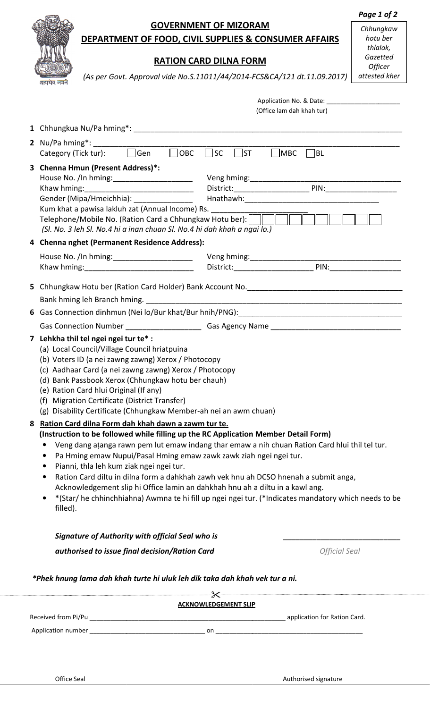|                                                                   |                                                                                                                                                                                                                                |                                                                                                                                                                                                                                |                               |                              | Page 1 of 2              |  |  |  |
|-------------------------------------------------------------------|--------------------------------------------------------------------------------------------------------------------------------------------------------------------------------------------------------------------------------|--------------------------------------------------------------------------------------------------------------------------------------------------------------------------------------------------------------------------------|-------------------------------|------------------------------|--------------------------|--|--|--|
|                                                                   |                                                                                                                                                                                                                                |                                                                                                                                                                                                                                | <b>GOVERNMENT OF MIZORAM</b>  |                              | Chhungkaw                |  |  |  |
|                                                                   |                                                                                                                                                                                                                                | DEPARTMENT OF FOOD, CIVIL SUPPLIES & CONSUMER AFFAIRS                                                                                                                                                                          |                               |                              | hotu ber                 |  |  |  |
|                                                                   |                                                                                                                                                                                                                                |                                                                                                                                                                                                                                |                               |                              | thlalak,                 |  |  |  |
|                                                                   |                                                                                                                                                                                                                                |                                                                                                                                                                                                                                | <b>RATION CARD DILNA FORM</b> |                              | Gazetted                 |  |  |  |
|                                                                   |                                                                                                                                                                                                                                | (As per Govt. Approval vide No.S.11011/44/2014-FCS&CA/121 dt.11.09.2017)                                                                                                                                                       |                               |                              | Officer<br>attested kher |  |  |  |
|                                                                   | सत्यमेव जयते                                                                                                                                                                                                                   |                                                                                                                                                                                                                                |                               |                              |                          |  |  |  |
|                                                                   |                                                                                                                                                                                                                                |                                                                                                                                                                                                                                |                               |                              |                          |  |  |  |
|                                                                   |                                                                                                                                                                                                                                |                                                                                                                                                                                                                                |                               | (Office lam dah khah tur)    |                          |  |  |  |
|                                                                   |                                                                                                                                                                                                                                |                                                                                                                                                                                                                                |                               |                              |                          |  |  |  |
|                                                                   |                                                                                                                                                                                                                                |                                                                                                                                                                                                                                |                               |                              |                          |  |  |  |
|                                                                   |                                                                                                                                                                                                                                |                                                                                                                                                                                                                                |                               |                              |                          |  |  |  |
|                                                                   | Category (Tick tur): Category (Tick tur): Category (Tick tur): Category (Tick tur):                                                                                                                                            |                                                                                                                                                                                                                                |                               |                              |                          |  |  |  |
|                                                                   |                                                                                                                                                                                                                                | 3 Chenna Hmun (Present Address)*:                                                                                                                                                                                              |                               |                              |                          |  |  |  |
|                                                                   |                                                                                                                                                                                                                                |                                                                                                                                                                                                                                |                               |                              |                          |  |  |  |
|                                                                   |                                                                                                                                                                                                                                |                                                                                                                                                                                                                                |                               |                              |                          |  |  |  |
|                                                                   |                                                                                                                                                                                                                                |                                                                                                                                                                                                                                |                               |                              |                          |  |  |  |
|                                                                   |                                                                                                                                                                                                                                | Kum khat a pawisa lakluh zat (Annual Income) Rs.                                                                                                                                                                               |                               |                              |                          |  |  |  |
|                                                                   |                                                                                                                                                                                                                                |                                                                                                                                                                                                                                |                               |                              |                          |  |  |  |
|                                                                   |                                                                                                                                                                                                                                | (Sl. No. 3 leh Sl. No.4 hi a inan chuan Sl. No.4 hi dah khah a ngai lo.)                                                                                                                                                       |                               |                              |                          |  |  |  |
|                                                                   |                                                                                                                                                                                                                                | 4 Chenna nghet (Permanent Residence Address):                                                                                                                                                                                  |                               |                              |                          |  |  |  |
|                                                                   |                                                                                                                                                                                                                                | House No. /In hming: ________________________                                                                                                                                                                                  |                               |                              |                          |  |  |  |
|                                                                   |                                                                                                                                                                                                                                |                                                                                                                                                                                                                                |                               |                              |                          |  |  |  |
|                                                                   |                                                                                                                                                                                                                                |                                                                                                                                                                                                                                |                               |                              |                          |  |  |  |
|                                                                   |                                                                                                                                                                                                                                | 5 Chhungkaw Hotu ber (Ration Card Holder) Bank Account No. [19] [19] [19] Chhungkaw Hotu ber (Ration Card Holder) Bank Account No. [19] [19] [19] Chhungkaw Hotu ber (Ration Card Holder) Bank Account No. [19] [19] [19] [19] |                               |                              |                          |  |  |  |
|                                                                   |                                                                                                                                                                                                                                |                                                                                                                                                                                                                                |                               |                              |                          |  |  |  |
|                                                                   | 6 Gas Connection dinhmun (Nei lo/Bur khat/Bur hnih/PNG): [14] [2010] [2010] [2010] [2010] [2010] [2010] [2010] [2010] [2010] [2010] [2010] [2010] [2010] [2010] [2010] [2010] [2010] [2010] [2010] [2010] [2010] [2010] [2010] |                                                                                                                                                                                                                                |                               |                              |                          |  |  |  |
|                                                                   |                                                                                                                                                                                                                                | <b>Gas Connection Number</b>                                                                                                                                                                                                   | Gas Agency Name               |                              |                          |  |  |  |
|                                                                   |                                                                                                                                                                                                                                | the contract of the contract of the contract of                                                                                                                                                                                |                               |                              |                          |  |  |  |
|                                                                   | 7 Lehkha thil tel ngei ngei tur te* :<br>(a) Local Council/Village Council hriatpuina                                                                                                                                          |                                                                                                                                                                                                                                |                               |                              |                          |  |  |  |
|                                                                   |                                                                                                                                                                                                                                | (b) Voters ID (a nei zawng zawng) Xerox / Photocopy                                                                                                                                                                            |                               |                              |                          |  |  |  |
|                                                                   |                                                                                                                                                                                                                                | (c) Aadhaar Card (a nei zawng zawng) Xerox / Photocopy                                                                                                                                                                         |                               |                              |                          |  |  |  |
|                                                                   |                                                                                                                                                                                                                                | (d) Bank Passbook Xerox (Chhungkaw hotu ber chauh)                                                                                                                                                                             |                               |                              |                          |  |  |  |
|                                                                   |                                                                                                                                                                                                                                | (e) Ration Card hlui Original (If any)                                                                                                                                                                                         |                               |                              |                          |  |  |  |
| Migration Certificate (District Transfer)<br>(f)                  |                                                                                                                                                                                                                                |                                                                                                                                                                                                                                |                               |                              |                          |  |  |  |
| (g) Disability Certificate (Chhungkaw Member-ah nei an awm chuan) |                                                                                                                                                                                                                                |                                                                                                                                                                                                                                |                               |                              |                          |  |  |  |
| Ration Card dilna Form dah khah dawn a zawm tur te.<br>8          |                                                                                                                                                                                                                                |                                                                                                                                                                                                                                |                               |                              |                          |  |  |  |
|                                                                   | (Instruction to be followed while filling up the RC Application Member Detail Form)                                                                                                                                            |                                                                                                                                                                                                                                |                               |                              |                          |  |  |  |
|                                                                   |                                                                                                                                                                                                                                |                                                                                                                                                                                                                                |                               |                              |                          |  |  |  |
|                                                                   |                                                                                                                                                                                                                                | Veng dang atanga rawn pem lut emaw indang thar emaw a nih chuan Ration Card hlui thil tel tur.<br>Pa Hming emaw Nupui/Pasal Hming emaw zawk zawk ziah ngei ngei tur.<br>Pianni, thla leh kum ziak ngei ngei tur.               |                               |                              |                          |  |  |  |
|                                                                   |                                                                                                                                                                                                                                |                                                                                                                                                                                                                                |                               |                              |                          |  |  |  |
|                                                                   | ٠                                                                                                                                                                                                                              | Ration Card diltu in dilna form a dahkhah zawh vek hnu ah DCSO hnenah a submit anga,                                                                                                                                           |                               |                              |                          |  |  |  |
|                                                                   |                                                                                                                                                                                                                                | Acknowledgement slip hi Office lamin an dahkhah hnu ah a diltu in a kawl ang.                                                                                                                                                  |                               |                              |                          |  |  |  |
|                                                                   |                                                                                                                                                                                                                                | (Star/ he chhinchhiahna) Awmna te hi fill up ngei ngei tur. (*Indicates mandatory which needs to be*                                                                                                                           |                               |                              |                          |  |  |  |
|                                                                   | filled).                                                                                                                                                                                                                       |                                                                                                                                                                                                                                |                               |                              |                          |  |  |  |
|                                                                   |                                                                                                                                                                                                                                |                                                                                                                                                                                                                                |                               |                              |                          |  |  |  |
|                                                                   |                                                                                                                                                                                                                                | Signature of Authority with official Seal who is                                                                                                                                                                               |                               |                              |                          |  |  |  |
|                                                                   |                                                                                                                                                                                                                                | authorised to issue final decision/Ration Card                                                                                                                                                                                 |                               | <b>Official Seal</b>         |                          |  |  |  |
|                                                                   |                                                                                                                                                                                                                                |                                                                                                                                                                                                                                |                               |                              |                          |  |  |  |
|                                                                   |                                                                                                                                                                                                                                | *Phek hnung lama dah khah turte hi uluk leh dik taka dah khah vek tur a ni.                                                                                                                                                    |                               |                              |                          |  |  |  |
|                                                                   |                                                                                                                                                                                                                                |                                                                                                                                                                                                                                |                               |                              |                          |  |  |  |
|                                                                   |                                                                                                                                                                                                                                |                                                                                                                                                                                                                                |                               |                              |                          |  |  |  |
|                                                                   |                                                                                                                                                                                                                                |                                                                                                                                                                                                                                | <b>ACKNOWLEDGEMENT SLIP</b>   |                              |                          |  |  |  |
|                                                                   | Received from Pi/Pu                                                                                                                                                                                                            |                                                                                                                                                                                                                                |                               | application for Ration Card. |                          |  |  |  |

Application number \_\_\_\_\_\_\_\_\_\_\_\_\_\_\_\_\_\_\_\_\_\_\_\_\_\_\_\_\_\_\_\_\_ on \_\_\_\_\_\_\_\_\_\_\_\_\_\_\_\_\_\_\_\_\_\_\_\_\_\_\_\_\_\_\_\_\_\_\_\_\_\_\_\_\_\_

Page 1 of 2